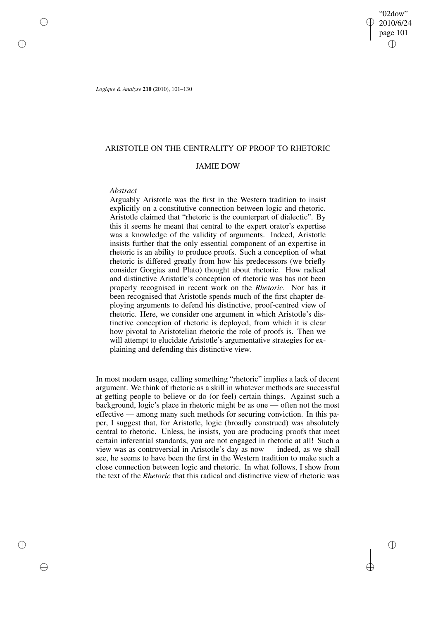"02dow" 2010/6/24 page 101 ✐ ✐

✐

✐

*Logique & Analyse* **210** (2010), 101–130

## ARISTOTLE ON THE CENTRALITY OF PROOF TO RHETORIC

### JAMIE DOW

## *Abstract*

✐

✐

✐

✐

Arguably Aristotle was the first in the Western tradition to insist explicitly on a constitutive connection between logic and rhetoric. Aristotle claimed that "rhetoric is the counterpart of dialectic". By this it seems he meant that central to the expert orator's expertise was a knowledge of the validity of arguments. Indeed, Aristotle insists further that the only essential component of an expertise in rhetoric is an ability to produce proofs. Such a conception of what rhetoric is differed greatly from how his predecessors (we briefly consider Gorgias and Plato) thought about rhetoric. How radical and distinctive Aristotle's conception of rhetoric was has not been properly recognised in recent work on the *Rhetoric*. Nor has it been recognised that Aristotle spends much of the first chapter deploying arguments to defend his distinctive, proof-centred view of rhetoric. Here, we consider one argument in which Aristotle's distinctive conception of rhetoric is deployed, from which it is clear how pivotal to Aristotelian rhetoric the role of proofs is. Then we will attempt to elucidate Aristotle's argumentative strategies for explaining and defending this distinctive view.

In most modern usage, calling something "rhetoric" implies a lack of decent argument. We think of rhetoric as a skill in whatever methods are successful at getting people to believe or do (or feel) certain things. Against such a background, logic's place in rhetoric might be as one — often not the most effective — among many such methods for securing conviction. In this paper, I suggest that, for Aristotle, logic (broadly construed) was absolutely central to rhetoric. Unless, he insists, you are producing proofs that meet certain inferential standards, you are not engaged in rhetoric at all! Such a view was as controversial in Aristotle's day as now — indeed, as we shall see, he seems to have been the first in the Western tradition to make such a close connection between logic and rhetoric. In what follows, I show from the text of the *Rhetoric* that this radical and distinctive view of rhetoric was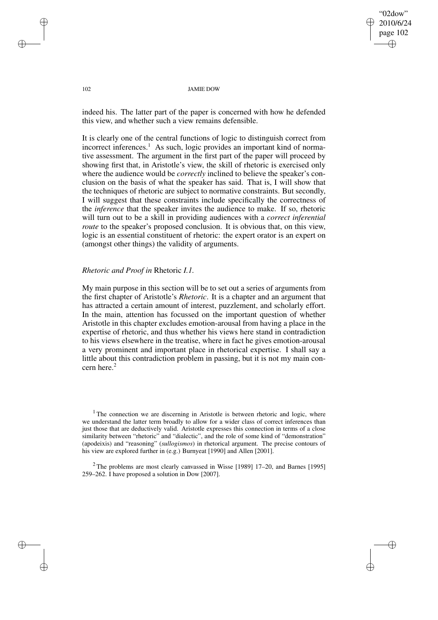"02dow" 2010/6/24 page 102 ✐ ✐

✐

✐

102 JAMIE DOW

indeed his. The latter part of the paper is concerned with how he defended this view, and whether such a view remains defensible.

It is clearly one of the central functions of logic to distinguish correct from incorrect inferences.<sup>1</sup> As such, logic provides an important kind of normative assessment. The argument in the first part of the paper will proceed by showing first that, in Aristotle's view, the skill of rhetoric is exercised only where the audience would be *correctly* inclined to believe the speaker's conclusion on the basis of what the speaker has said. That is, I will show that the techniques of rhetoric are subject to normative constraints. But secondly, I will suggest that these constraints include specifically the correctness of the *inference* that the speaker invites the audience to make. If so, rhetoric will turn out to be a skill in providing audiences with a *correct inferential route* to the speaker's proposed conclusion. It is obvious that, on this view, logic is an essential constituent of rhetoric: the expert orator is an expert on (amongst other things) the validity of arguments.

## *Rhetoric and Proof in* Rhetoric *I.1.*

My main purpose in this section will be to set out a series of arguments from the first chapter of Aristotle's *Rhetoric*. It is a chapter and an argument that has attracted a certain amount of interest, puzzlement, and scholarly effort. In the main, attention has focussed on the important question of whether Aristotle in this chapter excludes emotion-arousal from having a place in the expertise of rhetoric, and thus whether his views here stand in contradiction to his views elsewhere in the treatise, where in fact he gives emotion-arousal a very prominent and important place in rhetorical expertise. I shall say a little about this contradiction problem in passing, but it is not my main concern here.<sup>2</sup>

 $1$ The connection we are discerning in Aristotle is between rhetoric and logic, where we understand the latter term broadly to allow for a wider class of correct inferences than just those that are deductively valid. Aristotle expresses this connection in terms of a close similarity between "rhetoric" and "dialectic", and the role of some kind of "demonstration" (apodeixis) and "reasoning" (*sullogismos*) in rhetorical argument. The precise contours of his view are explored further in (e.g.) Burnyeat [1990] and Allen [2001].

 $2$ The problems are most clearly canvassed in Wisse [1989] 17–20, and Barnes [1995] 259–262. I have proposed a solution in Dow [2007].

✐

✐

✐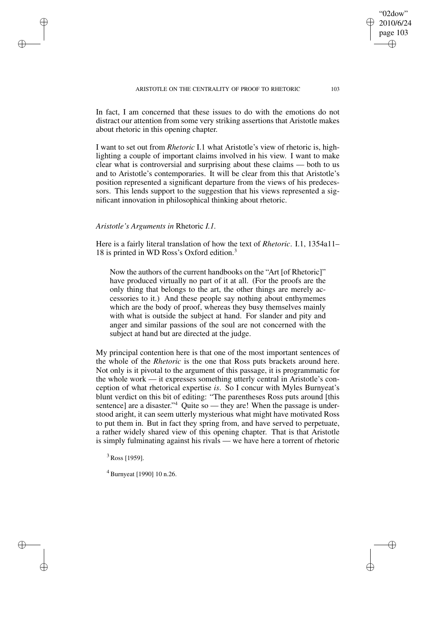In fact, I am concerned that these issues to do with the emotions do not distract our attention from some very striking assertions that Aristotle makes about rhetoric in this opening chapter.

I want to set out from *Rhetoric* I.1 what Aristotle's view of rhetoric is, highlighting a couple of important claims involved in his view. I want to make clear what is controversial and surprising about these claims — both to us and to Aristotle's contemporaries. It will be clear from this that Aristotle's position represented a significant departure from the views of his predecessors. This lends support to the suggestion that his views represented a significant innovation in philosophical thinking about rhetoric.

### *Aristotle's Arguments in* Rhetoric *I.1.*

✐

✐

✐

✐

Here is a fairly literal translation of how the text of *Rhetoric*. I.1, 1354a11– 18 is printed in WD Ross's Oxford edition.<sup>3</sup>

Now the authors of the current handbooks on the "Art [of Rhetoric]" have produced virtually no part of it at all. (For the proofs are the only thing that belongs to the art, the other things are merely accessories to it.) And these people say nothing about enthymemes which are the body of proof, whereas they busy themselves mainly with what is outside the subject at hand. For slander and pity and anger and similar passions of the soul are not concerned with the subject at hand but are directed at the judge.

My principal contention here is that one of the most important sentences of the whole of the *Rhetoric* is the one that Ross puts brackets around here. Not only is it pivotal to the argument of this passage, it is programmatic for the whole work — it expresses something utterly central in Aristotle's conception of what rhetorical expertise *is*. So I concur with Myles Burnyeat's blunt verdict on this bit of editing: "The parentheses Ross puts around [this sentence] are a disaster."<sup>4</sup> Quite so — they are! When the passage is understood aright, it can seem utterly mysterious what might have motivated Ross to put them in. But in fact they spring from, and have served to perpetuate, a rather widely shared view of this opening chapter. That is that Aristotle is simply fulminating against his rivals — we have here a torrent of rhetoric

<sup>3</sup> Ross [1959].

<sup>4</sup> Burnyeat [1990] 10 n.26.

"02dow" 2010/6/24 page 103

✐

✐

✐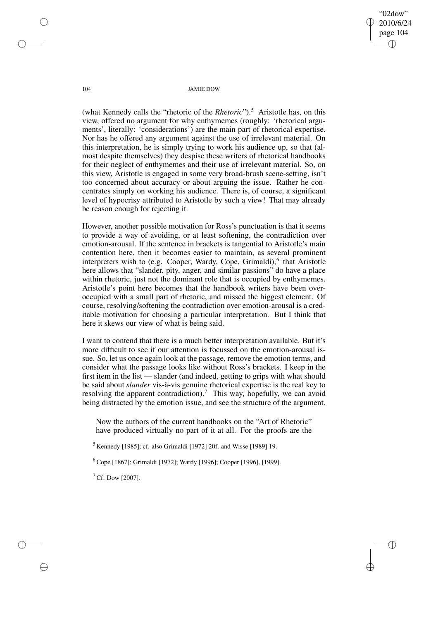"02dow" 2010/6/24 page 104 ✐ ✐

✐

✐

104 JAMIE DOW

(what Kennedy calls the "rhetoric of the *Rhetoric*").<sup>5</sup> Aristotle has, on this view, offered no argument for why enthymemes (roughly: 'rhetorical arguments', literally: 'considerations') are the main part of rhetorical expertise. Nor has he offered any argument against the use of irrelevant material. On this interpretation, he is simply trying to work his audience up, so that (almost despite themselves) they despise these writers of rhetorical handbooks for their neglect of enthymemes and their use of irrelevant material. So, on this view, Aristotle is engaged in some very broad-brush scene-setting, isn't too concerned about accuracy or about arguing the issue. Rather he concentrates simply on working his audience. There is, of course, a significant level of hypocrisy attributed to Aristotle by such a view! That may already be reason enough for rejecting it.

However, another possible motivation for Ross's punctuation is that it seems to provide a way of avoiding, or at least softening, the contradiction over emotion-arousal. If the sentence in brackets is tangential to Aristotle's main contention here, then it becomes easier to maintain, as several prominent interpreters wish to (e.g. Cooper, Wardy, Cope, Grimaldi),<sup>6</sup> that Aristotle here allows that "slander, pity, anger, and similar passions" do have a place within rhetoric, just not the dominant role that is occupied by enthymemes. Aristotle's point here becomes that the handbook writers have been overoccupied with a small part of rhetoric, and missed the biggest element. Of course, resolving/softening the contradiction over emotion-arousal is a creditable motivation for choosing a particular interpretation. But I think that here it skews our view of what is being said.

I want to contend that there is a much better interpretation available. But it's more difficult to see if our attention is focussed on the emotion-arousal issue. So, let us once again look at the passage, remove the emotion terms, and consider what the passage looks like without Ross's brackets. I keep in the first item in the list — slander (and indeed, getting to grips with what should be said about *slander* vis-à-vis genuine rhetorical expertise is the real key to resolving the apparent contradiction).<sup>7</sup> This way, hopefully, we can avoid being distracted by the emotion issue, and see the structure of the argument.

Now the authors of the current handbooks on the "Art of Rhetoric" have produced virtually no part of it at all. For the proofs are the

<sup>5</sup> Kennedy [1985]; cf. also Grimaldi [1972] 20f. and Wisse [1989] 19.

<sup>6</sup> Cope [1867]; Grimaldi [1972]; Wardy [1996]; Cooper [1996], [1999].

 $7$  Cf. Dow [2007].

✐

✐

✐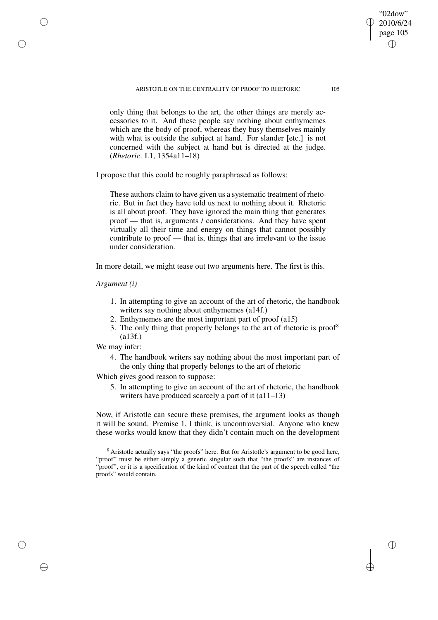only thing that belongs to the art, the other things are merely accessories to it. And these people say nothing about enthymemes which are the body of proof, whereas they busy themselves mainly with what is outside the subject at hand. For slander [etc.] is not concerned with the subject at hand but is directed at the judge. (*Rhetoric*. I.1, 1354a11–18)

I propose that this could be roughly paraphrased as follows:

These authors claim to have given us a systematic treatment of rhetoric. But in fact they have told us next to nothing about it. Rhetoric is all about proof. They have ignored the main thing that generates proof — that is, arguments / considerations. And they have spent virtually all their time and energy on things that cannot possibly contribute to proof — that is, things that are irrelevant to the issue under consideration.

In more detail, we might tease out two arguments here. The first is this.

*Argument (i)*

✐

✐

✐

✐

- 1. In attempting to give an account of the art of rhetoric, the handbook writers say nothing about enthymemes (a14f.)
- 2. Enthymemes are the most important part of proof (a15)
- 3. The only thing that properly belongs to the art of rhetoric is proof<sup>8</sup> (a13f.)

We may infer:

4. The handbook writers say nothing about the most important part of the only thing that properly belongs to the art of rhetoric

Which gives good reason to suppose:

5. In attempting to give an account of the art of rhetoric, the handbook writers have produced scarcely a part of it (a11–13)

Now, if Aristotle can secure these premises, the argument looks as though it will be sound. Premise 1, I think, is uncontroversial. Anyone who knew these works would know that they didn't contain much on the development

"02dow" 2010/6/24 page 105

✐

✐

✐

<sup>8</sup> Aristotle actually says "the proofs" here. But for Aristotle's argument to be good here, "proof" must be either simply a generic singular such that "the proofs" are instances of "proof", or it is a specification of the kind of content that the part of the speech called "the proofs" would contain.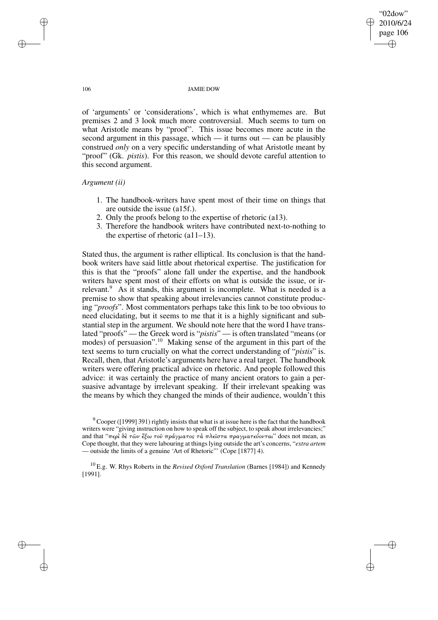"02dow" 2010/6/24 page 106 ✐ ✐

✐

✐

#### 106 JAMIE DOW

of 'arguments' or 'considerations', which is what enthymemes are. But premises 2 and 3 look much more controversial. Much seems to turn on what Aristotle means by "proof". This issue becomes more acute in the second argument in this passage, which  $-$  it turns out  $-$  can be plausibly construed *only* on a very specific understanding of what Aristotle meant by "proof" (Gk. *pistis*). For this reason, we should devote careful attention to this second argument.

### *Argument (ii)*

- 1. The handbook-writers have spent most of their time on things that are outside the issue (a15f.).
- 2. Only the proofs belong to the expertise of rhetoric (a13).
- 3. Therefore the handbook writers have contributed next-to-nothing to the expertise of rhetoric (a11–13).

Stated thus, the argument is rather elliptical. Its conclusion is that the handbook writers have said little about rhetorical expertise. The justification for this is that the "proofs" alone fall under the expertise, and the handbook writers have spent most of their efforts on what is outside the issue, or irrelevant.<sup>9</sup> As it stands, this argument is incomplete. What is needed is a premise to show that speaking about irrelevancies cannot constitute producing "*proofs*". Most commentators perhaps take this link to be too obvious to need elucidating, but it seems to me that it is a highly significant and substantial step in the argument. We should note here that the word I have translated "proofs" — the Greek word is "*pistis*" — is often translated "means (or modes) of persuasion".<sup>10</sup> Making sense of the argument in this part of the text seems to turn crucially on what the correct understanding of "*pistis*" is. Recall, then, that Aristotle's arguments here have a real target. The handbook writers were offering practical advice on rhetoric. And people followed this advice: it was certainly the practice of many ancient orators to gain a persuasive advantage by irrelevant speaking. If their irrelevant speaking was the means by which they changed the minds of their audience, wouldn't this

<sup>10</sup> E.g. W. Rhys Roberts in the *Revised Oxford Translation* (Barnes [1984]) and Kennedy [1991].

✐

✐

✐

 $9^9$  Cooper ([1999] 391) rightly insists that what is at issue here is the fact that the handbook writers were "giving instruction on how to speak off the subject, to speak about irrelevancies;" and that "περί δέ τῶν "ξω τοῦ πράγματος τα πλεῖστα πραγματεύονται" does not mean, as Cope thought, that they were labouring at things lying outside the art's concerns, "*extra artem* — outside the limits of a genuine 'Art of Rhetoric"' (Cope [1877] 4).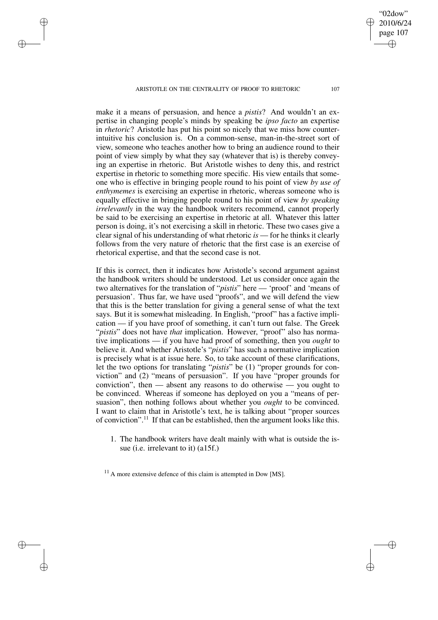✐

✐

✐

✐

make it a means of persuasion, and hence a *pistis*? And wouldn't an expertise in changing people's minds by speaking be *ipso facto* an expertise in *rhetoric*? Aristotle has put his point so nicely that we miss how counterintuitive his conclusion is. On a common-sense, man-in-the-street sort of view, someone who teaches another how to bring an audience round to their point of view simply by what they say (whatever that is) is thereby conveying an expertise in rhetoric. But Aristotle wishes to deny this, and restrict expertise in rhetoric to something more specific. His view entails that someone who is effective in bringing people round to his point of view *by use of enthymemes* is exercising an expertise in rhetoric, whereas someone who is equally effective in bringing people round to his point of view *by speaking irrelevantly* in the way the handbook writers recommend, cannot properly be said to be exercising an expertise in rhetoric at all. Whatever this latter person is doing, it's not exercising a skill in rhetoric. These two cases give a clear signal of his understanding of what rhetoric *is* — for he thinks it clearly follows from the very nature of rhetoric that the first case is an exercise of rhetorical expertise, and that the second case is not.

If this is correct, then it indicates how Aristotle's second argument against the handbook writers should be understood. Let us consider once again the two alternatives for the translation of "*pistis*" here — 'proof' and 'means of persuasion'. Thus far, we have used "proofs", and we will defend the view that this is the better translation for giving a general sense of what the text says. But it is somewhat misleading. In English, "proof" has a factive implication — if you have proof of something, it can't turn out false. The Greek "*pistis*" does not have *that* implication. However, "proof" also has normative implications — if you have had proof of something, then you *ought* to believe it. And whether Aristotle's "*pistis*" has such a normative implication is precisely what is at issue here. So, to take account of these clarifications, let the two options for translating "*pistis*" be (1) "proper grounds for conviction" and (2) "means of persuasion". If you have "proper grounds for conviction", then — absent any reasons to do otherwise — you ought to be convinced. Whereas if someone has deployed on you a "means of persuasion", then nothing follows about whether you *ought* to be convinced. I want to claim that in Aristotle's text, he is talking about "proper sources of conviction".<sup>11</sup> If that can be established, then the argument looks like this.

1. The handbook writers have dealt mainly with what is outside the issue (i.e. irrelevant to it) (a15f.)

 $11$  A more extensive defence of this claim is attempted in Dow [MS].

"02dow" 2010/6/24 page 107

✐

✐

✐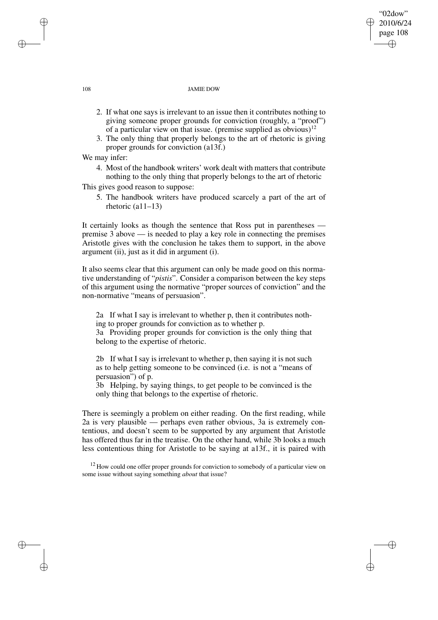✐

✐

#### 108 JAMIE DOW

- 2. If what one says is irrelevant to an issue then it contributes nothing to giving someone proper grounds for conviction (roughly, a "proof") of a particular view on that issue. (premise supplied as obvious)<sup>12</sup>
- 3. The only thing that properly belongs to the art of rhetoric is giving proper grounds for conviction (a13f.)

We may infer:

4. Most of the handbook writers' work dealt with matters that contribute nothing to the only thing that properly belongs to the art of rhetoric

This gives good reason to suppose:

5. The handbook writers have produced scarcely a part of the art of rhetoric (a11–13)

It certainly looks as though the sentence that Ross put in parentheses premise 3 above — is needed to play a key role in connecting the premises Aristotle gives with the conclusion he takes them to support, in the above argument (ii), just as it did in argument (i).

It also seems clear that this argument can only be made good on this normative understanding of "*pistis*". Consider a comparison between the key steps of this argument using the normative "proper sources of conviction" and the non-normative "means of persuasion".

2a If what I say is irrelevant to whether p, then it contributes nothing to proper grounds for conviction as to whether p.

3a Providing proper grounds for conviction is the only thing that belong to the expertise of rhetoric.

2b If what I say is irrelevant to whether p, then saying it is not such as to help getting someone to be convinced (i.e. is not a "means of persuasion") of p.

3b Helping, by saying things, to get people to be convinced is the only thing that belongs to the expertise of rhetoric.

There is seemingly a problem on either reading. On the first reading, while 2a is very plausible — perhaps even rather obvious, 3a is extremely contentious, and doesn't seem to be supported by any argument that Aristotle has offered thus far in the treatise. On the other hand, while 3b looks a much less contentious thing for Aristotle to be saying at a13f., it is paired with

✐

✐

✐

 $12$  How could one offer proper grounds for conviction to somebody of a particular view on some issue without saying something *about* that issue?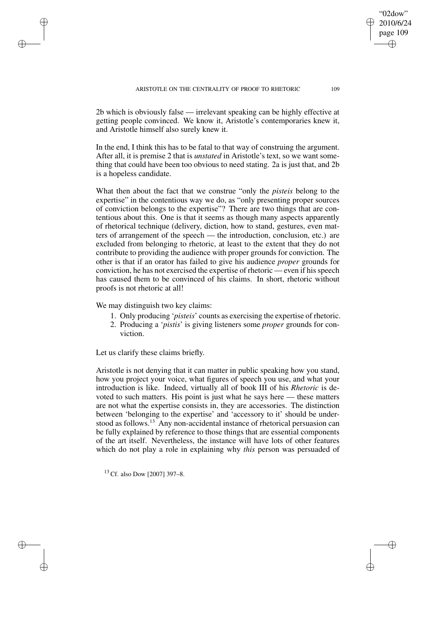2b which is obviously false — irrelevant speaking can be highly effective at getting people convinced. We know it, Aristotle's contemporaries knew it, and Aristotle himself also surely knew it.

In the end, I think this has to be fatal to that way of construing the argument. After all, it is premise 2 that is *unstated* in Aristotle's text, so we want something that could have been too obvious to need stating. 2a is just that, and 2b is a hopeless candidate.

What then about the fact that we construe "only the *pisteis* belong to the expertise" in the contentious way we do, as "only presenting proper sources of conviction belongs to the expertise"? There are two things that are contentious about this. One is that it seems as though many aspects apparently of rhetorical technique (delivery, diction, how to stand, gestures, even matters of arrangement of the speech — the introduction, conclusion, etc.) are excluded from belonging to rhetoric, at least to the extent that they do not contribute to providing the audience with proper grounds for conviction. The other is that if an orator has failed to give his audience *proper* grounds for conviction, he has not exercised the expertise of rhetoric — even if hisspeech has caused them to be convinced of his claims. In short, rhetoric without proofs is not rhetoric at all!

We may distinguish two key claims:

✐

✐

✐

✐

- 1. Only producing '*pisteis*' counts as exercising the expertise of rhetoric.
- 2. Producing a '*pistis*' is giving listeners some *proper* grounds for conviction.

Let us clarify these claims briefly.

Aristotle is not denying that it can matter in public speaking how you stand, how you project your voice, what figures of speech you use, and what your introduction is like. Indeed, virtually all of book III of his *Rhetoric* is devoted to such matters. His point is just what he says here — these matters are not what the expertise consists in, they are accessories. The distinction between 'belonging to the expertise' and 'accessory to it' should be understood as follows.<sup>13</sup> Any non-accidental instance of rhetorical persuasion can be fully explained by reference to those things that are essential components of the art itself. Nevertheless, the instance will have lots of other features which do not play a role in explaining why *this* person was persuaded of

<sup>13</sup> Cf. also Dow [2007] 397–8.

"02dow" 2010/6/24 page 109

✐

✐

✐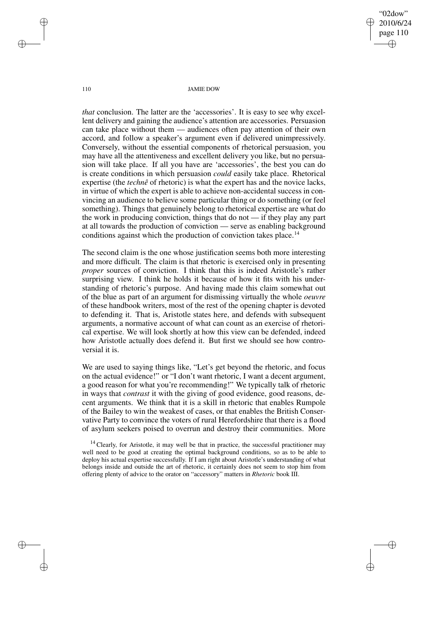"02dow" 2010/6/24 page 110 ✐ ✐

✐

✐

110 **JAMIE DOW** 

*that* conclusion. The latter are the 'accessories'. It is easy to see why excellent delivery and gaining the audience's attention are accessories. Persuasion can take place without them — audiences often pay attention of their own accord, and follow a speaker's argument even if delivered unimpressively. Conversely, without the essential components of rhetorical persuasion, you may have all the attentiveness and excellent delivery you like, but no persuasion will take place. If all you have are 'accessories', the best you can do is create conditions in which persuasion *could* easily take place. Rhetorical expertise (the *technê* of rhetoric) is what the expert has and the novice lacks, in virtue of which the expert is able to achieve non-accidental success in convincing an audience to believe some particular thing or do something (or feel something). Things that genuinely belong to rhetorical expertise are what do the work in producing conviction, things that do not — if they play any part at all towards the production of conviction — serve as enabling background conditions against which the production of conviction takes place.<sup>14</sup>

The second claim is the one whose justification seems both more interesting and more difficult. The claim is that rhetoric is exercised only in presenting *proper* sources of conviction. I think that this is indeed Aristotle's rather surprising view. I think he holds it because of how it fits with his understanding of rhetoric's purpose. And having made this claim somewhat out of the blue as part of an argument for dismissing virtually the whole *oeuvre* of these handbook writers, most of the rest of the opening chapter is devoted to defending it. That is, Aristotle states here, and defends with subsequent arguments, a normative account of what can count as an exercise of rhetorical expertise. We will look shortly at how this view can be defended, indeed how Aristotle actually does defend it. But first we should see how controversial it is.

We are used to saying things like, "Let's get beyond the rhetoric, and focus on the actual evidence!" or "I don't want rhetoric, I want a decent argument, a good reason for what you're recommending!" We typically talk of rhetoric in ways that *contrast* it with the giving of good evidence, good reasons, decent arguments. We think that it is a skill in rhetoric that enables Rumpole of the Bailey to win the weakest of cases, or that enables the British Conservative Party to convince the voters of rural Herefordshire that there is a flood of asylum seekers poised to overrun and destroy their communities. More

<sup>14</sup> Clearly, for Aristotle, it may well be that in practice, the successful practitioner may well need to be good at creating the optimal background conditions, so as to be able to deploy his actual expertise successfully. If I am right about Aristotle's understanding of what belongs inside and outside the art of rhetoric, it certainly does not seem to stop him from offering plenty of advice to the orator on "accessory" matters in *Rhetoric* book III.

✐

✐

✐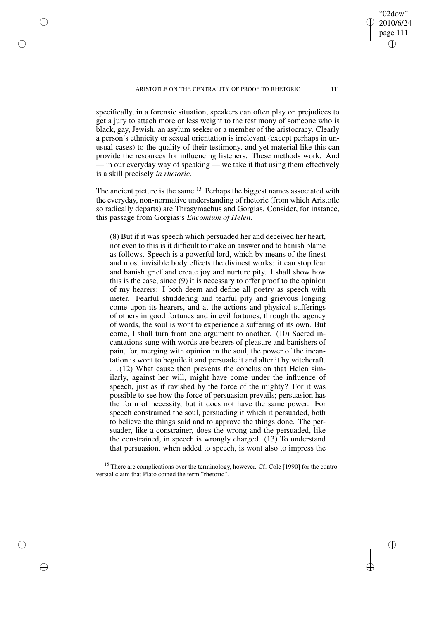✐

✐

✐

✐

specifically, in a forensic situation, speakers can often play on prejudices to get a jury to attach more or less weight to the testimony of someone who is black, gay, Jewish, an asylum seeker or a member of the aristocracy. Clearly a person's ethnicity or sexual orientation is irrelevant (except perhaps in unusual cases) to the quality of their testimony, and yet material like this can provide the resources for influencing listeners. These methods work. And — in our everyday way of speaking — we take it that using them effectively is a skill precisely *in rhetoric*.

The ancient picture is the same.<sup>15</sup> Perhaps the biggest names associated with the everyday, non-normative understanding of rhetoric (from which Aristotle so radically departs) are Thrasymachus and Gorgias. Consider, for instance, this passage from Gorgias's *Encomium of Helen*.

(8) But if it was speech which persuaded her and deceived her heart, not even to this is it difficult to make an answer and to banish blame as follows. Speech is a powerful lord, which by means of the finest and most invisible body effects the divinest works: it can stop fear and banish grief and create joy and nurture pity. I shall show how this is the case, since (9) it is necessary to offer proof to the opinion of my hearers: I both deem and define all poetry as speech with meter. Fearful shuddering and tearful pity and grievous longing come upon its hearers, and at the actions and physical sufferings of others in good fortunes and in evil fortunes, through the agency of words, the soul is wont to experience a suffering of its own. But come, I shall turn from one argument to another. (10) Sacred incantations sung with words are bearers of pleasure and banishers of pain, for, merging with opinion in the soul, the power of the incantation is wont to beguile it and persuade it and alter it by witchcraft. . . .(12) What cause then prevents the conclusion that Helen similarly, against her will, might have come under the influence of speech, just as if ravished by the force of the mighty? For it was possible to see how the force of persuasion prevails; persuasion has the form of necessity, but it does not have the same power. For speech constrained the soul, persuading it which it persuaded, both to believe the things said and to approve the things done. The persuader, like a constrainer, does the wrong and the persuaded, like the constrained, in speech is wrongly charged. (13) To understand that persuasion, when added to speech, is wont also to impress the

<sup>15</sup> There are complications over the terminology, however. Cf. Cole [1990] for the controversial claim that Plato coined the term "rhetoric".

"02dow" 2010/6/24 page 111

✐

✐

✐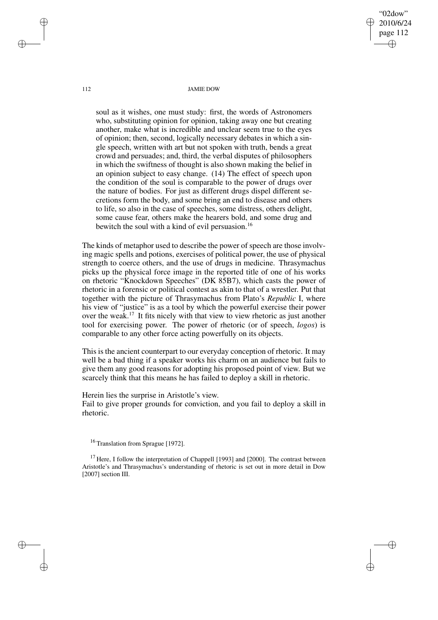"02dow" 2010/6/24 page 112 ✐ ✐

✐

✐

112 **JAMIE DOW** 

soul as it wishes, one must study: first, the words of Astronomers who, substituting opinion for opinion, taking away one but creating another, make what is incredible and unclear seem true to the eyes of opinion; then, second, logically necessary debates in which a single speech, written with art but not spoken with truth, bends a great crowd and persuades; and, third, the verbal disputes of philosophers in which the swiftness of thought is also shown making the belief in an opinion subject to easy change. (14) The effect of speech upon the condition of the soul is comparable to the power of drugs over the nature of bodies. For just as different drugs dispel different secretions form the body, and some bring an end to disease and others to life, so also in the case of speeches, some distress, others delight, some cause fear, others make the hearers bold, and some drug and bewitch the soul with a kind of evil persuasion.<sup>16</sup>

The kinds of metaphor used to describe the power of speech are those involving magic spells and potions, exercises of political power, the use of physical strength to coerce others, and the use of drugs in medicine. Thrasymachus picks up the physical force image in the reported title of one of his works on rhetoric "Knockdown Speeches" (DK 85B7), which casts the power of rhetoric in a forensic or political contest as akin to that of a wrestler. Put that together with the picture of Thrasymachus from Plato's *Republic* I, where his view of "justice" is as a tool by which the powerful exercise their power over the weak.<sup>17</sup> It fits nicely with that view to view rhetoric as just another tool for exercising power. The power of rhetoric (or of speech, *logos*) is comparable to any other force acting powerfully on its objects.

This is the ancient counterpart to our everyday conception of rhetoric. It may well be a bad thing if a speaker works his charm on an audience but fails to give them any good reasons for adopting his proposed point of view. But we scarcely think that this means he has failed to deploy a skill in rhetoric.

Herein lies the surprise in Aristotle's view.

Fail to give proper grounds for conviction, and you fail to deploy a skill in rhetoric.

 $17$  Here, I follow the interpretation of Chappell [1993] and [2000]. The contrast between Aristotle's and Thrasymachus's understanding of rhetoric is set out in more detail in Dow [2007] section III.

✐

✐

✐

<sup>&</sup>lt;sup>16</sup> Translation from Sprague [1972].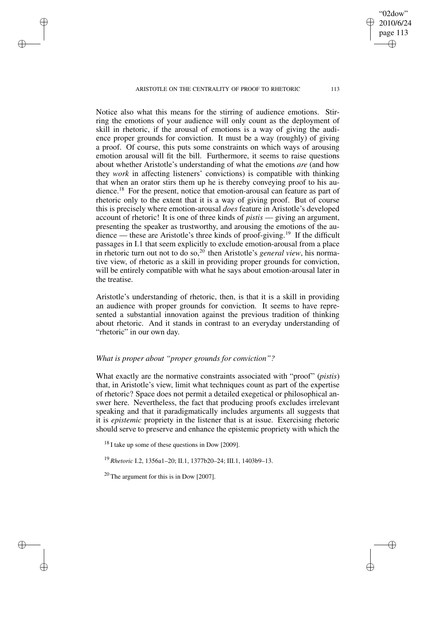✐

✐

✐

✐

Notice also what this means for the stirring of audience emotions. Stirring the emotions of your audience will only count as the deployment of skill in rhetoric, if the arousal of emotions is a way of giving the audience proper grounds for conviction. It must be a way (roughly) of giving a proof. Of course, this puts some constraints on which ways of arousing emotion arousal will fit the bill. Furthermore, it seems to raise questions about whether Aristotle's understanding of what the emotions *are* (and how they *work* in affecting listeners' convictions) is compatible with thinking that when an orator stirs them up he is thereby conveying proof to his audience.<sup>18</sup> For the present, notice that emotion-arousal can feature as part of rhetoric only to the extent that it is a way of giving proof. But of course this is precisely where emotion-arousal *does* feature in Aristotle's developed account of rhetoric! It is one of three kinds of *pistis* — giving an argument, presenting the speaker as trustworthy, and arousing the emotions of the audience — these are Aristotle's three kinds of proof-giving.<sup>19</sup> If the difficult passages in I.1 that seem explicitly to exclude emotion-arousal from a place in rhetoric turn out not to do so,<sup>20</sup> then Aristotle's *general view*, his normative view, of rhetoric as a skill in providing proper grounds for conviction, will be entirely compatible with what he says about emotion-arousal later in the treatise.

Aristotle's understanding of rhetoric, then, is that it is a skill in providing an audience with proper grounds for conviction. It seems to have represented a substantial innovation against the previous tradition of thinking about rhetoric. And it stands in contrast to an everyday understanding of "rhetoric" in our own day.

## *What is proper about "proper grounds for conviction"?*

What exactly are the normative constraints associated with "proof" (*pistis*) that, in Aristotle's view, limit what techniques count as part of the expertise of rhetoric? Space does not permit a detailed exegetical or philosophical answer here. Nevertheless, the fact that producing proofs excludes irrelevant speaking and that it paradigmatically includes arguments all suggests that it is *epistemic* propriety in the listener that is at issue. Exercising rhetoric should serve to preserve and enhance the epistemic propriety with which the

 $18$  I take up some of these questions in Dow [2009].

<sup>19</sup> *Rhetoric* I.2, 1356a1–20; II.1, 1377b20–24; III.1, 1403b9–13.

 $20$  The argument for this is in Dow [2007].

"02dow" 2010/6/24 page 113

✐

✐

✐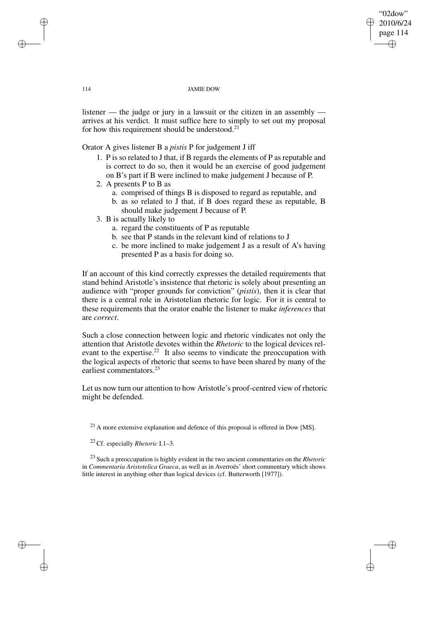"02dow" 2010/6/24 page 114 ✐ ✐

✐

✐

#### 114 JAMIE DOW

listener — the judge or jury in a lawsuit or the citizen in an assembly arrives at his verdict. It must suffice here to simply to set out my proposal for how this requirement should be understood.<sup>21</sup>

Orator A gives listener B a *pistis* P for judgement J iff

- 1. P is so related to J that, if B regards the elements of P as reputable and is correct to do so, then it would be an exercise of good judgement on B's part if B were inclined to make judgement J because of P.
- 2. A presents P to B as
	- a. comprised of things B is disposed to regard as reputable, and
	- b. as so related to J that, if B does regard these as reputable, B should make judgement J because of P.
- 3. B is actually likely to
	- a. regard the constituents of P as reputable
	- b. see that P stands in the relevant kind of relations to J
	- c. be more inclined to make judgement J as a result of A's having presented P as a basis for doing so.

If an account of this kind correctly expresses the detailed requirements that stand behind Aristotle's insistence that rhetoric is solely about presenting an audience with "proper grounds for conviction" (*pistis*), then it is clear that there is a central role in Aristotelian rhetoric for logic. For it is central to these requirements that the orator enable the listener to make *inferences* that are *correct*.

Such a close connection between logic and rhetoric vindicates not only the attention that Aristotle devotes within the *Rhetoric* to the logical devices relevant to the expertise.<sup>22</sup> It also seems to vindicate the preoccupation with the logical aspects of rhetoric that seems to have been shared by many of the earliest commentators.<sup>23</sup>

Let us now turn our attention to how Aristotle's proof-centred view of rhetoric might be defended.

 $^{21}$  A more extensive explanation and defence of this proposal is offered in Dow [MS].

<sup>22</sup> Cf. especially *Rhetoric* I.1–3.

<sup>23</sup> Such a preoccupation is highly evident in the two ancient commentaries on the *Rhetoric* in *Commentaria Aristotelica Graeca*, as well as in Averroës' short commentary which shows little interest in anything other than logical devices (cf. Butterworth [1977]).

✐

✐

✐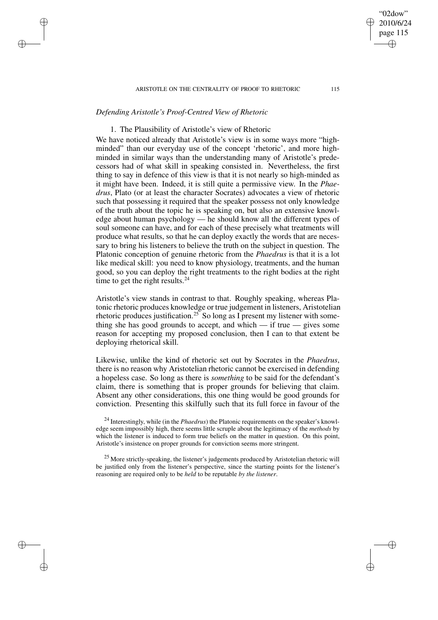## *Defending Aristotle's Proof-Centred View of Rhetoric*

✐

✐

✐

✐

### 1. The Plausibility of Aristotle's view of Rhetoric

We have noticed already that Aristotle's view is in some ways more "highminded" than our everyday use of the concept 'rhetoric', and more highminded in similar ways than the understanding many of Aristotle's predecessors had of what skill in speaking consisted in. Nevertheless, the first thing to say in defence of this view is that it is not nearly so high-minded as it might have been. Indeed, it is still quite a permissive view. In the *Phaedrus*, Plato (or at least the character Socrates) advocates a view of rhetoric such that possessing it required that the speaker possess not only knowledge of the truth about the topic he is speaking on, but also an extensive knowledge about human psychology — he should know all the different types of soul someone can have, and for each of these precisely what treatments will produce what results, so that he can deploy exactly the words that are necessary to bring his listeners to believe the truth on the subject in question. The Platonic conception of genuine rhetoric from the *Phaedrus* is that it is a lot like medical skill: you need to know physiology, treatments, and the human good, so you can deploy the right treatments to the right bodies at the right time to get the right results. $^{24}$ 

Aristotle's view stands in contrast to that. Roughly speaking, whereas Platonic rhetoric produces knowledge or true judgement in listeners, Aristotelian rhetoric produces justification.<sup>25</sup> So long as I present my listener with something she has good grounds to accept, and which  $-$  if true  $-$  gives some reason for accepting my proposed conclusion, then I can to that extent be deploying rhetorical skill.

Likewise, unlike the kind of rhetoric set out by Socrates in the *Phaedrus*, there is no reason why Aristotelian rhetoric cannot be exercised in defending a hopeless case. So long as there is *something* to be said for the defendant's claim, there is something that is proper grounds for believing that claim. Absent any other considerations, this one thing would be good grounds for conviction. Presenting this skilfully such that its full force in favour of the

"02dow" 2010/6/24 page 115

✐

✐

✐

<sup>24</sup> Interestingly, while (in the *Phaedrus*) the Platonic requirements on the speaker's knowledge seem impossibly high, there seems little scruple about the legitimacy of the *methods* by which the listener is induced to form true beliefs on the matter in question. On this point, Aristotle's insistence on proper grounds for conviction seems more stringent.

<sup>&</sup>lt;sup>25</sup> More strictly-speaking, the listener's judgements produced by Aristotelian rhetoric will be justified only from the listener's perspective, since the starting points for the listener's reasoning are required only to be *held* to be reputable *by the listener*.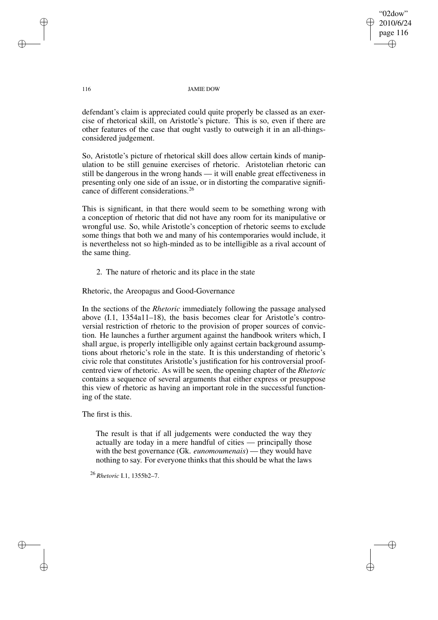"02dow" 2010/6/24 page 116 ✐ ✐

✐

✐

#### 116 JAMIE DOW

defendant's claim is appreciated could quite properly be classed as an exercise of rhetorical skill, on Aristotle's picture. This is so, even if there are other features of the case that ought vastly to outweigh it in an all-thingsconsidered judgement.

So, Aristotle's picture of rhetorical skill does allow certain kinds of manipulation to be still genuine exercises of rhetoric. Aristotelian rhetoric can still be dangerous in the wrong hands — it will enable great effectiveness in presenting only one side of an issue, or in distorting the comparative significance of different considerations.<sup>26</sup>

This is significant, in that there would seem to be something wrong with a conception of rhetoric that did not have any room for its manipulative or wrongful use. So, while Aristotle's conception of rhetoric seems to exclude some things that both we and many of his contemporaries would include, it is nevertheless not so high-minded as to be intelligible as a rival account of the same thing.

2. The nature of rhetoric and its place in the state

Rhetoric, the Areopagus and Good-Governance

In the sections of the *Rhetoric* immediately following the passage analysed above (I.1, 1354a11–18), the basis becomes clear for Aristotle's controversial restriction of rhetoric to the provision of proper sources of conviction. He launches a further argument against the handbook writers which, I shall argue, is properly intelligible only against certain background assumptions about rhetoric's role in the state. It is this understanding of rhetoric's civic role that constitutes Aristotle's justification for his controversial proofcentred view of rhetoric. As will be seen, the opening chapter of the *Rhetoric* contains a sequence of several arguments that either express or presuppose this view of rhetoric as having an important role in the successful functioning of the state.

The first is this.

The result is that if all judgements were conducted the way they actually are today in a mere handful of cities — principally those with the best governance (Gk. *eunomoumenais*) — they would have nothing to say. For everyone thinks that this should be what the laws

<sup>26</sup> *Rhetoric* I.1, 1355b2–7.

✐

✐

✐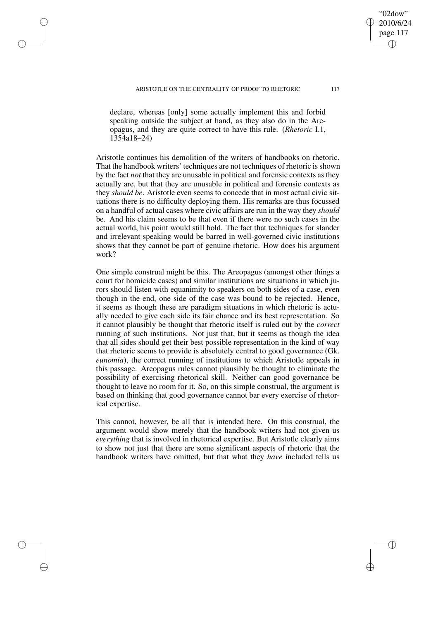✐

✐

✐

✐

declare, whereas [only] some actually implement this and forbid speaking outside the subject at hand, as they also do in the Areopagus, and they are quite correct to have this rule. (*Rhetoric* I.1, 1354a18–24)

Aristotle continues his demolition of the writers of handbooks on rhetoric. That the handbook writers' techniques are not techniques of rhetoric is shown by the fact *not* that they are unusable in political and forensic contexts as they actually are, but that they are unusable in political and forensic contexts as they *should be*. Aristotle even seems to concede that in most actual civic situations there is no difficulty deploying them. His remarks are thus focussed on a handful of actual cases where civic affairs are run in the way they *should* be. And his claim seems to be that even if there were no such cases in the actual world, his point would still hold. The fact that techniques for slander and irrelevant speaking would be barred in well-governed civic institutions shows that they cannot be part of genuine rhetoric. How does his argument work?

One simple construal might be this. The Areopagus (amongst other things a court for homicide cases) and similar institutions are situations in which jurors should listen with equanimity to speakers on both sides of a case, even though in the end, one side of the case was bound to be rejected. Hence, it seems as though these are paradigm situations in which rhetoric is actually needed to give each side its fair chance and its best representation. So it cannot plausibly be thought that rhetoric itself is ruled out by the *correct* running of such institutions. Not just that, but it seems as though the idea that all sides should get their best possible representation in the kind of way that rhetoric seems to provide is absolutely central to good governance (Gk. *eunomia*), the correct running of institutions to which Aristotle appeals in this passage. Areopagus rules cannot plausibly be thought to eliminate the possibility of exercising rhetorical skill. Neither can good governance be thought to leave no room for it. So, on this simple construal, the argument is based on thinking that good governance cannot bar every exercise of rhetorical expertise.

This cannot, however, be all that is intended here. On this construal, the argument would show merely that the handbook writers had not given us *everything* that is involved in rhetorical expertise. But Aristotle clearly aims to show not just that there are some significant aspects of rhetoric that the handbook writers have omitted, but that what they *have* included tells us

"02dow" 2010/6/24 page 117

✐

✐

✐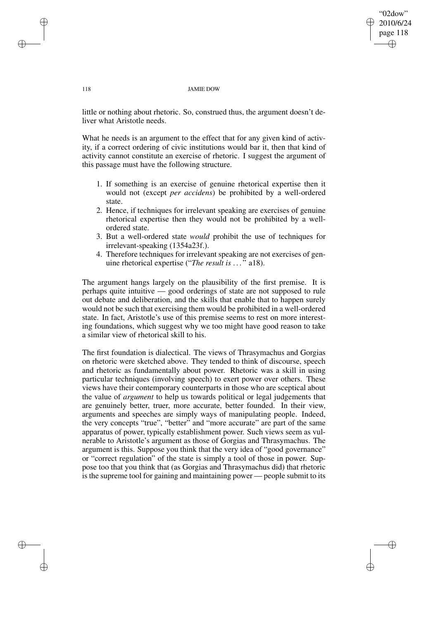"02dow" 2010/6/24 page 118 ✐ ✐

✐

✐

#### 118 **JAMIE DOW**

little or nothing about rhetoric. So, construed thus, the argument doesn't deliver what Aristotle needs.

What he needs is an argument to the effect that for any given kind of activity, if a correct ordering of civic institutions would bar it, then that kind of activity cannot constitute an exercise of rhetoric. I suggest the argument of this passage must have the following structure.

- 1. If something is an exercise of genuine rhetorical expertise then it would not (except *per accidens*) be prohibited by a well-ordered state.
- 2. Hence, if techniques for irrelevant speaking are exercises of genuine rhetorical expertise then they would not be prohibited by a wellordered state.
- 3. But a well-ordered state *would* prohibit the use of techniques for irrelevant-speaking (1354a23f.).
- 4. Therefore techniques for irrelevant speaking are not exercises of genuine rhetorical expertise ("*The result is* . . . " a18).

The argument hangs largely on the plausibility of the first premise. It is perhaps quite intuitive — good orderings of state are not supposed to rule out debate and deliberation, and the skills that enable that to happen surely would not be such that exercising them would be prohibited in a well-ordered state. In fact, Aristotle's use of this premise seems to rest on more interesting foundations, which suggest why we too might have good reason to take a similar view of rhetorical skill to his.

The first foundation is dialectical. The views of Thrasymachus and Gorgias on rhetoric were sketched above. They tended to think of discourse, speech and rhetoric as fundamentally about power. Rhetoric was a skill in using particular techniques (involving speech) to exert power over others. These views have their contemporary counterparts in those who are sceptical about the value of *argument* to help us towards political or legal judgements that are genuinely better, truer, more accurate, better founded. In their view, arguments and speeches are simply ways of manipulating people. Indeed, the very concepts "true", "better" and "more accurate" are part of the same apparatus of power, typically establishment power. Such views seem as vulnerable to Aristotle's argument as those of Gorgias and Thrasymachus. The argument is this. Suppose you think that the very idea of "good governance" or "correct regulation" of the state is simply a tool of those in power. Suppose too that you think that (as Gorgias and Thrasymachus did) that rhetoric is the supreme tool for gaining and maintaining power — people submit to its

✐

✐

✐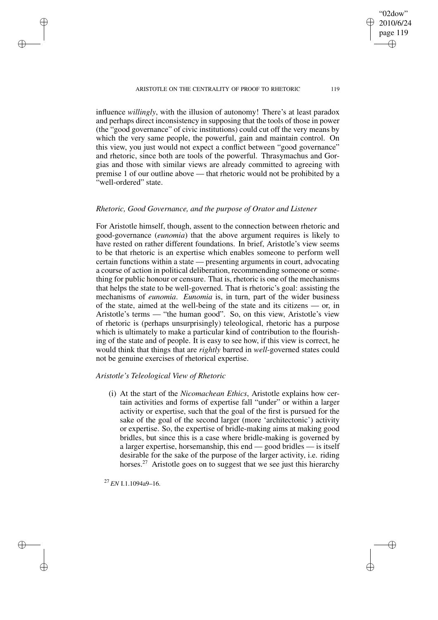2010/6/24 page 119 ✐ ✐

✐

✐

"02dow"

influence *willingly*, with the illusion of autonomy! There's at least paradox and perhaps direct inconsistency in supposing that the tools of those in power (the "good governance" of civic institutions) could cut off the very means by which the very same people, the powerful, gain and maintain control. On this view, you just would not expect a conflict between "good governance" and rhetoric, since both are tools of the powerful. Thrasymachus and Gorgias and those with similar views are already committed to agreeing with premise 1 of our outline above — that rhetoric would not be prohibited by a "well-ordered" state.

# *Rhetoric, Good Governance, and the purpose of Orator and Listener*

For Aristotle himself, though, assent to the connection between rhetoric and good-governance (*eunomia*) that the above argument requires is likely to have rested on rather different foundations. In brief, Aristotle's view seems to be that rhetoric is an expertise which enables someone to perform well certain functions within a state — presenting arguments in court, advocating a course of action in political deliberation, recommending someone or something for public honour or censure. That is, rhetoric is one of the mechanisms that helps the state to be well-governed. That is rhetoric's goal: assisting the mechanisms of *eunomia*. *Eunomia* is, in turn, part of the wider business of the state, aimed at the well-being of the state and its citizens — or, in Aristotle's terms — "the human good". So, on this view, Aristotle's view of rhetoric is (perhaps unsurprisingly) teleological, rhetoric has a purpose which is ultimately to make a particular kind of contribution to the flourishing of the state and of people. It is easy to see how, if this view is correct, he would think that things that are *rightly* barred in *well*-governed states could not be genuine exercises of rhetorical expertise.

## *Aristotle's Teleological View of Rhetoric*

(i) At the start of the *Nicomachean Ethics*, Aristotle explains how certain activities and forms of expertise fall "under" or within a larger activity or expertise, such that the goal of the first is pursued for the sake of the goal of the second larger (more 'architectonic') activity or expertise. So, the expertise of bridle-making aims at making good bridles, but since this is a case where bridle-making is governed by a larger expertise, horsemanship, this end — good bridles — is itself desirable for the sake of the purpose of the larger activity, i.e. riding horses.<sup>27</sup> Aristotle goes on to suggest that we see just this hierarchy

<sup>27</sup> *EN* I.1.1094a9–16.

✐

✐

✐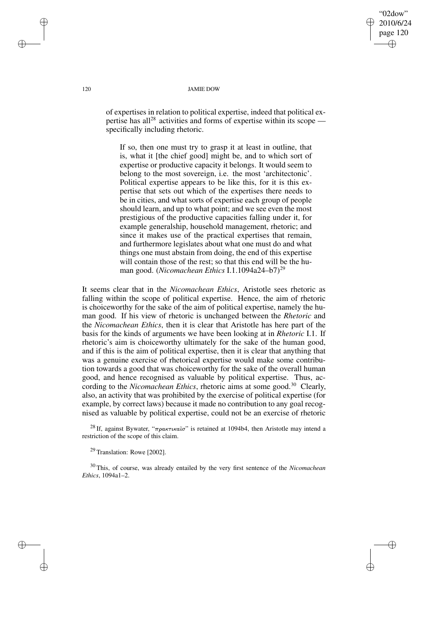"02dow" 2010/6/24 page 120 ✐ ✐

✐

✐

120 JAMIE DOW

of expertises in relation to political expertise, indeed that political expertise has all<sup>28</sup> activities and forms of expertise within its scope specifically including rhetoric.

If so, then one must try to grasp it at least in outline, that is, what it [the chief good] might be, and to which sort of expertise or productive capacity it belongs. It would seem to belong to the most sovereign, i.e. the most 'architectonic'. Political expertise appears to be like this, for it is this expertise that sets out which of the expertises there needs to be in cities, and what sorts of expertise each group of people should learn, and up to what point; and we see even the most prestigious of the productive capacities falling under it, for example generalship, household management, rhetoric; and since it makes use of the practical expertises that remain, and furthermore legislates about what one must do and what things one must abstain from doing, the end of this expertise will contain those of the rest; so that this end will be the human good. (*Nicomachean Ethics* I.1.1094a24–b7)<sup>29</sup>

It seems clear that in the *Nicomachean Ethics*, Aristotle sees rhetoric as falling within the scope of political expertise. Hence, the aim of rhetoric is choiceworthy for the sake of the aim of political expertise, namely the human good. If his view of rhetoric is unchanged between the *Rhetoric* and the *Nicomachean Ethics*, then it is clear that Aristotle has here part of the basis for the kinds of arguments we have been looking at in *Rhetoric* I.1. If rhetoric's aim is choiceworthy ultimately for the sake of the human good, and if this is the aim of political expertise, then it is clear that anything that was a genuine exercise of rhetorical expertise would make some contribution towards a good that was choiceworthy for the sake of the overall human good, and hence recognised as valuable by political expertise. Thus, according to the *Nicomachean Ethics*, rhetoric aims at some good.<sup>30</sup> Clearly, also, an activity that was prohibited by the exercise of political expertise (for example, by correct laws) because it made no contribution to any goal recognised as valuable by political expertise, could not be an exercise of rhetoric

<sup>28</sup> If, against Bywater, "πρακτικαῖσ" is retained at 1094b4, then Aristotle may intend a restriction of the scope of this claim.

<sup>29</sup> Translation: Rowe [2002].

<sup>30</sup> This, of course, was already entailed by the very first sentence of the *Nicomachean Ethics*, 1094a1–2.

✐

✐

✐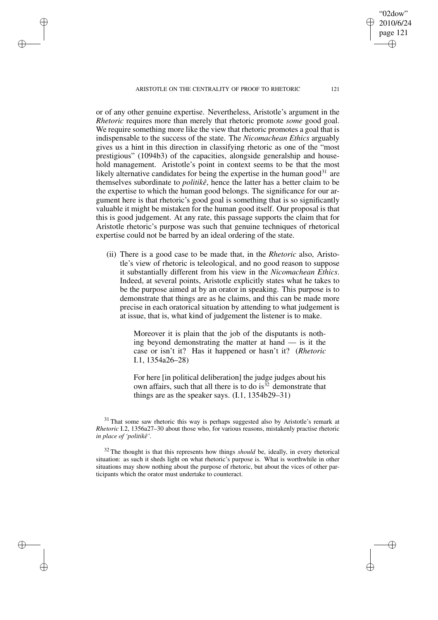✐

✐

✐

✐

or of any other genuine expertise. Nevertheless, Aristotle's argument in the *Rhetoric* requires more than merely that rhetoric promote *some* good goal. We require something more like the view that rhetoric promotes a goal that is indispensable to the success of the state. The *Nicomachean Ethics* arguably gives us a hint in this direction in classifying rhetoric as one of the "most prestigious" (1094b3) of the capacities, alongside generalship and household management. Aristotle's point in context seems to be that the most likely alternative candidates for being the expertise in the human good<sup>31</sup> are themselves subordinate to *politikê*, hence the latter has a better claim to be the expertise to which the human good belongs. The significance for our argument here is that rhetoric's good goal is something that is so significantly valuable it might be mistaken for the human good itself. Our proposal is that this is good judgement. At any rate, this passage supports the claim that for Aristotle rhetoric's purpose was such that genuine techniques of rhetorical expertise could not be barred by an ideal ordering of the state.

(ii) There is a good case to be made that, in the *Rhetoric* also, Aristotle's view of rhetoric is teleological, and no good reason to suppose it substantially different from his view in the *Nicomachean Ethics*. Indeed, at several points, Aristotle explicitly states what he takes to be the purpose aimed at by an orator in speaking. This purpose is to demonstrate that things are as he claims, and this can be made more precise in each oratorical situation by attending to what judgement is at issue, that is, what kind of judgement the listener is to make.

> Moreover it is plain that the job of the disputants is nothing beyond demonstrating the matter at hand — is it the case or isn't it? Has it happened or hasn't it? (*Rhetoric* I.1, 1354a26–28)

> For here [in political deliberation] the judge judges about his own affairs, such that all there is to do is $32$  demonstrate that things are as the speaker says. (I.1, 1354b29–31)

"02dow" 2010/6/24 page 121

✐

✐

✐

<sup>&</sup>lt;sup>31</sup> That some saw rhetoric this way is perhaps suggested also by Aristotle's remark at *Rhetoric* I.2, 1356a27–30 about those who, for various reasons, mistakenly practise rhetoric *in place of 'politikê'*.

<sup>&</sup>lt;sup>32</sup> The thought is that this represents how things *should* be, ideally, in every rhetorical situation: as such it sheds light on what rhetoric's purpose is. What is worthwhile in other situations may show nothing about the purpose of rhetoric, but about the vices of other participants which the orator must undertake to counteract.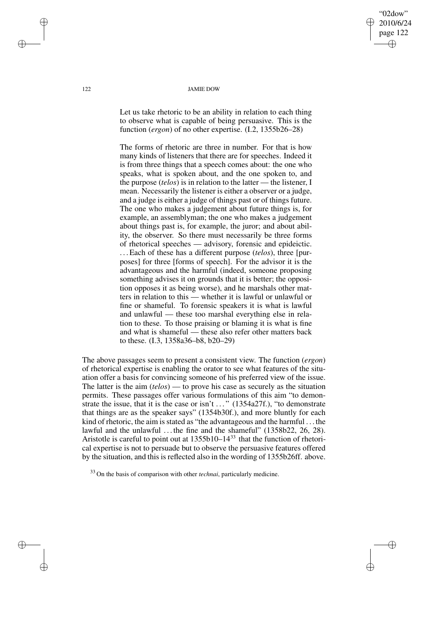"02dow" 2010/6/24 page 122 ✐ ✐

✐

✐

122 JAMIE DOW

Let us take rhetoric to be an ability in relation to each thing to observe what is capable of being persuasive. This is the function (*ergon*) of no other expertise. (I.2, 1355b26–28)

The forms of rhetoric are three in number. For that is how many kinds of listeners that there are for speeches. Indeed it is from three things that a speech comes about: the one who speaks, what is spoken about, and the one spoken to, and the purpose (*telos*) is in relation to the latter — the listener, I mean. Necessarily the listener is either a observer or a judge, and a judge is either a judge of things past or of things future. The one who makes a judgement about future things is, for example, an assemblyman; the one who makes a judgement about things past is, for example, the juror; and about ability, the observer. So there must necessarily be three forms of rhetorical speeches — advisory, forensic and epideictic. . . .Each of these has a different purpose (*telos*), three [purposes] for three [forms of speech]. For the advisor it is the advantageous and the harmful (indeed, someone proposing something advises it on grounds that it is better; the opposition opposes it as being worse), and he marshals other matters in relation to this — whether it is lawful or unlawful or fine or shameful. To forensic speakers it is what is lawful and unlawful — these too marshal everything else in relation to these. To those praising or blaming it is what is fine and what is shameful — these also refer other matters back to these. (I.3, 1358a36–b8, b20–29)

The above passages seem to present a consistent view. The function (*ergon*) of rhetorical expertise is enabling the orator to see what features of the situation offer a basis for convincing someone of his preferred view of the issue. The latter is the aim (*telos*) — to prove his case as securely as the situation permits. These passages offer various formulations of this aim "to demonstrate the issue, that it is the case or isn't  $\dots$ " (1354a27f.), "to demonstrate that things are as the speaker says" (1354b30f.), and more bluntly for each kind of rhetoric, the aim is stated as "the advantageous and the harmful  $\dots$  the lawful and the unlawful ... the fine and the shameful" (1358b22, 26, 28). Aristotle is careful to point out at 1355b10–14<sup>33</sup> that the function of rhetorical expertise is not to persuade but to observe the persuasive features offered by the situation, and this is reflected also in the wording of 1355b26ff. above.

<sup>33</sup> On the basis of comparison with other *technai*, particularly medicine.

✐

✐

✐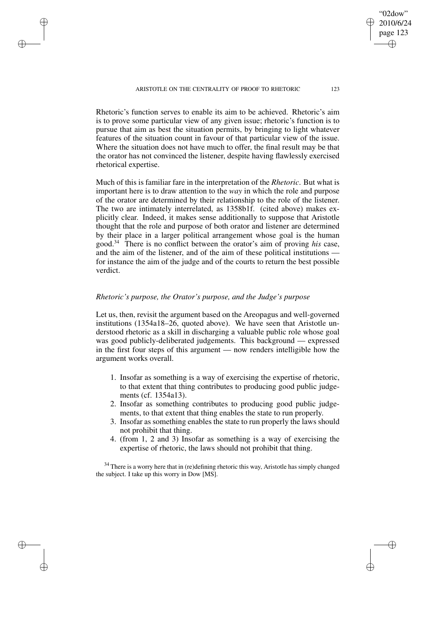✐

✐

✐

✐

Rhetoric's function serves to enable its aim to be achieved. Rhetoric's aim is to prove some particular view of any given issue; rhetoric's function is to pursue that aim as best the situation permits, by bringing to light whatever features of the situation count in favour of that particular view of the issue. Where the situation does not have much to offer, the final result may be that the orator has not convinced the listener, despite having flawlessly exercised rhetorical expertise.

Much of this is familiar fare in the interpretation of the *Rhetoric*. But what is important here is to draw attention to the *way* in which the role and purpose of the orator are determined by their relationship to the role of the listener. The two are intimately interrelated, as 1358b1f. (cited above) makes explicitly clear. Indeed, it makes sense additionally to suppose that Aristotle thought that the role and purpose of both orator and listener are determined by their place in a larger political arrangement whose goal is the human good.<sup>34</sup> There is no conflict between the orator's aim of proving *his* case, and the aim of the listener, and of the aim of these political institutions for instance the aim of the judge and of the courts to return the best possible verdict.

### *Rhetoric's purpose, the Orator's purpose, and the Judge's purpose*

Let us, then, revisit the argument based on the Areopagus and well-governed institutions (1354a18–26, quoted above). We have seen that Aristotle understood rhetoric as a skill in discharging a valuable public role whose goal was good publicly-deliberated judgements. This background — expressed in the first four steps of this argument — now renders intelligible how the argument works overall.

- 1. Insofar as something is a way of exercising the expertise of rhetoric, to that extent that thing contributes to producing good public judgements (cf. 1354a13).
- 2. Insofar as something contributes to producing good public judgements, to that extent that thing enables the state to run properly.
- 3. Insofar as something enables the state to run properly the laws should not prohibit that thing.
- 4. (from 1, 2 and 3) Insofar as something is a way of exercising the expertise of rhetoric, the laws should not prohibit that thing.

<sup>34</sup> There is a worry here that in (re)defining rhetoric this way, Aristotle has simply changed the subject. I take up this worry in Dow [MS].

"02dow" 2010/6/24 page 123

✐

✐

✐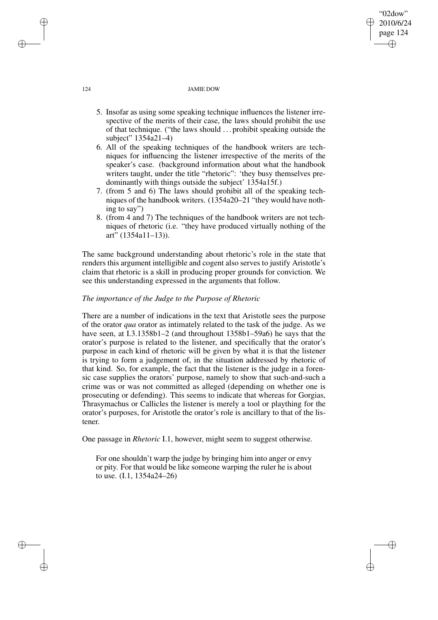### "02dow" 2010/6/24 page 124 ✐ ✐

✐

✐

### 124 **JAMIE DOW**

- 5. Insofar as using some speaking technique influences the listener irrespective of the merits of their case, the laws should prohibit the use of that technique. ("the laws should . . . prohibit speaking outside the subject" 1354a21–4)
- 6. All of the speaking techniques of the handbook writers are techniques for influencing the listener irrespective of the merits of the speaker's case. (background information about what the handbook writers taught, under the title "rhetoric": 'they busy themselves predominantly with things outside the subject' 1354a15f.)
- 7. (from 5 and 6) The laws should prohibit all of the speaking techniques of the handbook writers. (1354a20–21 "they would have nothing to say")
- 8. (from 4 and 7) The techniques of the handbook writers are not techniques of rhetoric (i.e. "they have produced virtually nothing of the  $art''(1354a11-13)$ ).

The same background understanding about rhetoric's role in the state that renders this argument intelligible and cogent also serves to justify Aristotle's claim that rhetoric is a skill in producing proper grounds for conviction. We see this understanding expressed in the arguments that follow.

## *The importance of the Judge to the Purpose of Rhetoric*

There are a number of indications in the text that Aristotle sees the purpose of the orator *qua* orator as intimately related to the task of the judge. As we have seen, at I.3.1358b1–2 (and throughout 1358b1–59a6) he says that the orator's purpose is related to the listener, and specifically that the orator's purpose in each kind of rhetoric will be given by what it is that the listener is trying to form a judgement of, in the situation addressed by rhetoric of that kind. So, for example, the fact that the listener is the judge in a forensic case supplies the orators' purpose, namely to show that such-and-such a crime was or was not committed as alleged (depending on whether one is prosecuting or defending). This seems to indicate that whereas for Gorgias, Thrasymachus or Callicles the listener is merely a tool or plaything for the orator's purposes, for Aristotle the orator's role is ancillary to that of the listener.

One passage in *Rhetoric* I.1, however, might seem to suggest otherwise.

For one shouldn't warp the judge by bringing him into anger or envy or pity. For that would be like someone warping the ruler he is about to use. (I.1, 1354a24–26)

✐

✐

✐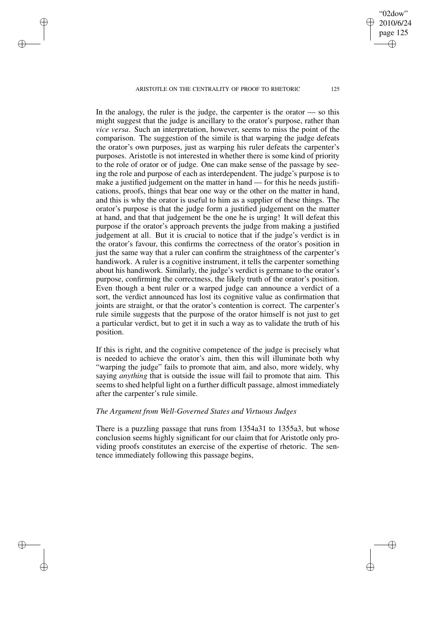✐

✐

✐

✐

In the analogy, the ruler is the judge, the carpenter is the orator  $\frac{1}{2}$  so this might suggest that the judge is ancillary to the orator's purpose, rather than *vice versa*. Such an interpretation, however, seems to miss the point of the comparison. The suggestion of the simile is that warping the judge defeats the orator's own purposes, just as warping his ruler defeats the carpenter's purposes. Aristotle is not interested in whether there is some kind of priority to the role of orator or of judge. One can make sense of the passage by seeing the role and purpose of each as interdependent. The judge's purpose is to make a justified judgement on the matter in hand — for this he needs justifications, proofs, things that bear one way or the other on the matter in hand, and this is why the orator is useful to him as a supplier of these things. The orator's purpose is that the judge form a justified judgement on the matter at hand, and that that judgement be the one he is urging! It will defeat this purpose if the orator's approach prevents the judge from making a justified judgement at all. But it is crucial to notice that if the judge's verdict is in the orator's favour, this confirms the correctness of the orator's position in just the same way that a ruler can confirm the straightness of the carpenter's handiwork. A ruler is a cognitive instrument, it tells the carpenter something about his handiwork. Similarly, the judge's verdict is germane to the orator's purpose, confirming the correctness, the likely truth of the orator's position. Even though a bent ruler or a warped judge can announce a verdict of a sort, the verdict announced has lost its cognitive value as confirmation that joints are straight, or that the orator's contention is correct. The carpenter's rule simile suggests that the purpose of the orator himself is not just to get a particular verdict, but to get it in such a way as to validate the truth of his position.

If this is right, and the cognitive competence of the judge is precisely what is needed to achieve the orator's aim, then this will illuminate both why "warping the judge" fails to promote that aim, and also, more widely, why saying *anything* that is outside the issue will fail to promote that aim. This seems to shed helpful light on a further difficult passage, almost immediately after the carpenter's rule simile.

# *The Argument from Well-Governed States and Virtuous Judges*

There is a puzzling passage that runs from 1354a31 to 1355a3, but whose conclusion seems highly significant for our claim that for Aristotle only providing proofs constitutes an exercise of the expertise of rhetoric. The sentence immediately following this passage begins,

"02dow" 2010/6/24 page 125

✐

✐

✐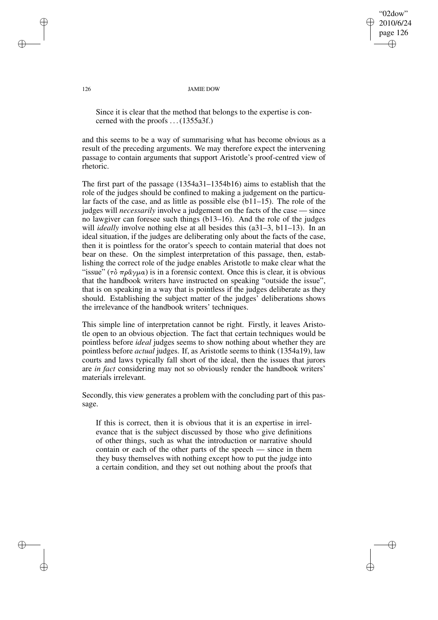"02dow" 2010/6/24 page 126 ✐ ✐

✐

✐

126 JAMIE DOW

Since it is clear that the method that belongs to the expertise is concerned with the proofs . . .(1355a3f.)

and this seems to be a way of summarising what has become obvious as a result of the preceding arguments. We may therefore expect the intervening passage to contain arguments that support Aristotle's proof-centred view of rhetoric.

The first part of the passage (1354a31–1354b16) aims to establish that the role of the judges should be confined to making a judgement on the particular facts of the case, and as little as possible else (b11–15). The role of the judges will *necessarily* involve a judgement on the facts of the case — since no lawgiver can foresee such things (b13–16). And the role of the judges will *ideally* involve nothing else at all besides this (a31–3, b11–13). In an ideal situation, if the judges are deliberating only about the facts of the case, then it is pointless for the orator's speech to contain material that does not bear on these. On the simplest interpretation of this passage, then, establishing the correct role of the judge enables Aristotle to make clear what the "issue" (τὸ πρ $\hat{\alpha}$ γμα) is in a forensic context. Once this is clear, it is obvious that the handbook writers have instructed on speaking "outside the issue", that is on speaking in a way that is pointless if the judges deliberate as they should. Establishing the subject matter of the judges' deliberations shows the irrelevance of the handbook writers' techniques.

This simple line of interpretation cannot be right. Firstly, it leaves Aristotle open to an obvious objection. The fact that certain techniques would be pointless before *ideal* judges seems to show nothing about whether they are pointless before *actual* judges. If, as Aristotle seems to think (1354a19), law courts and laws typically fall short of the ideal, then the issues that jurors are *in fact* considering may not so obviously render the handbook writers' materials irrelevant.

Secondly, this view generates a problem with the concluding part of this passage.

If this is correct, then it is obvious that it is an expertise in irrelevance that is the subject discussed by those who give definitions of other things, such as what the introduction or narrative should contain or each of the other parts of the speech — since in them they busy themselves with nothing except how to put the judge into a certain condition, and they set out nothing about the proofs that

✐

✐

✐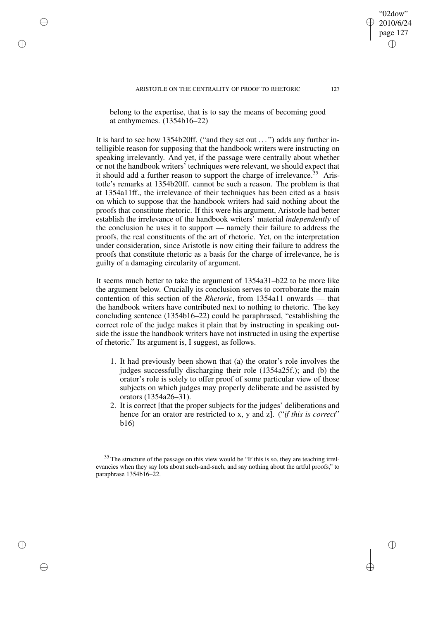✐

✐

✐

✐

belong to the expertise, that is to say the means of becoming good at enthymemes. (1354b16–22)

It is hard to see how 1354b20ff. ("and they set out ...") adds any further intelligible reason for supposing that the handbook writers were instructing on speaking irrelevantly. And yet, if the passage were centrally about whether or not the handbook writers' techniques were relevant, we should expect that it should add a further reason to support the charge of irrelevance.<sup>35</sup> Aristotle's remarks at 1354b20ff. cannot be such a reason. The problem is that at 1354a11ff., the irrelevance of their techniques has been cited as a basis on which to suppose that the handbook writers had said nothing about the proofs that constitute rhetoric. If this were his argument, Aristotle had better establish the irrelevance of the handbook writers' material *independently* of the conclusion he uses it to support — namely their failure to address the proofs, the real constituents of the art of rhetoric. Yet, on the interpretation under consideration, since Aristotle is now citing their failure to address the proofs that constitute rhetoric as a basis for the charge of irrelevance, he is guilty of a damaging circularity of argument.

It seems much better to take the argument of 1354a31–b22 to be more like the argument below. Crucially its conclusion serves to corroborate the main contention of this section of the *Rhetoric*, from 1354a11 onwards — that the handbook writers have contributed next to nothing to rhetoric. The key concluding sentence (1354b16–22) could be paraphrased, "establishing the correct role of the judge makes it plain that by instructing in speaking outside the issue the handbook writers have not instructed in using the expertise of rhetoric." Its argument is, I suggest, as follows.

- 1. It had previously been shown that (a) the orator's role involves the judges successfully discharging their role (1354a25f.); and (b) the orator's role is solely to offer proof of some particular view of those subjects on which judges may properly deliberate and be assisted by orators (1354a26–31).
- 2. It is correct [that the proper subjects for the judges' deliberations and hence for an orator are restricted to x, y and z]. ("*if this is correct*" b16)

 $35$  The structure of the passage on this view would be "If this is so, they are teaching irrelevancies when they say lots about such-and-such, and say nothing about the artful proofs," to paraphrase 1354b16–22.

"02dow" 2010/6/24 page 127

✐

✐

✐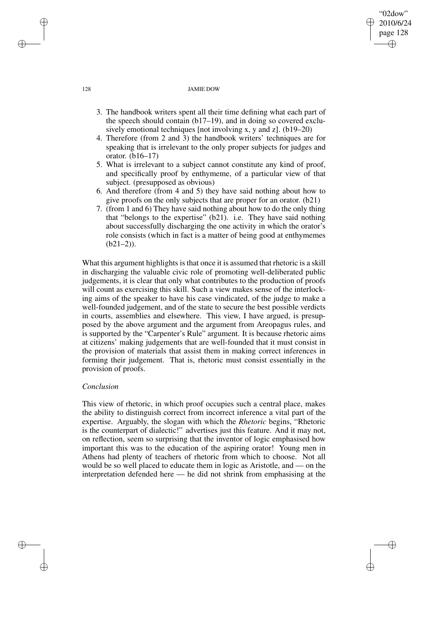### "02dow" 2010/6/24 page 128 ✐ ✐

✐

✐

### 128 JAMIE DOW

- 3. The handbook writers spent all their time defining what each part of the speech should contain (b17–19), and in doing so covered exclusively emotional techniques [not involving x, y and z]. (b19–20)
- 4. Therefore (from 2 and 3) the handbook writers' techniques are for speaking that is irrelevant to the only proper subjects for judges and orator. (b16–17)
- 5. What is irrelevant to a subject cannot constitute any kind of proof, and specifically proof by enthymeme, of a particular view of that subject. (presupposed as obvious)
- 6. And therefore (from 4 and 5) they have said nothing about how to give proofs on the only subjects that are proper for an orator. (b21)
- 7. (from 1 and 6) They have said nothing about how to do the only thing that "belongs to the expertise" (b21). i.e. They have said nothing about successfully discharging the one activity in which the orator's role consists (which in fact is a matter of being good at enthymemes  $(b21-2)$ ).

What this argument highlights is that once it is assumed that rhetoric is a skill in discharging the valuable civic role of promoting well-deliberated public judgements, it is clear that only what contributes to the production of proofs will count as exercising this skill. Such a view makes sense of the interlocking aims of the speaker to have his case vindicated, of the judge to make a well-founded judgement, and of the state to secure the best possible verdicts in courts, assemblies and elsewhere. This view, I have argued, is presupposed by the above argument and the argument from Areopagus rules, and is supported by the "Carpenter's Rule" argument. It is because rhetoric aims at citizens' making judgements that are well-founded that it must consist in the provision of materials that assist them in making correct inferences in forming their judgement. That is, rhetoric must consist essentially in the provision of proofs.

# *Conclusion*

This view of rhetoric, in which proof occupies such a central place, makes the ability to distinguish correct from incorrect inference a vital part of the expertise. Arguably, the slogan with which the *Rhetoric* begins, "Rhetoric is the counterpart of dialectic!" advertises just this feature. And it may not, on reflection, seem so surprising that the inventor of logic emphasised how important this was to the education of the aspiring orator! Young men in Athens had plenty of teachers of rhetoric from which to choose. Not all would be so well placed to educate them in logic as Aristotle, and — on the interpretation defended here — he did not shrink from emphasising at the

✐

✐

✐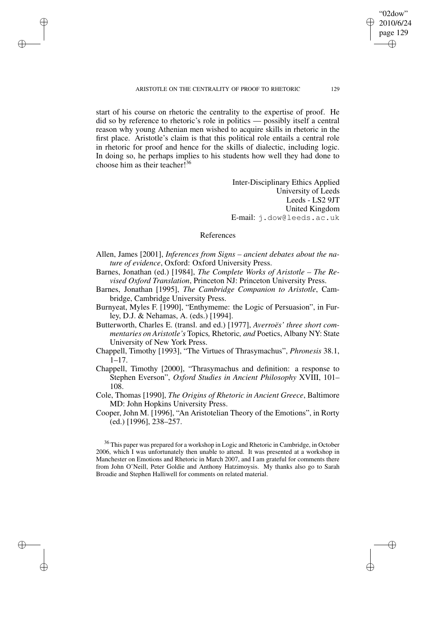✐

✐

✐

✐

start of his course on rhetoric the centrality to the expertise of proof. He did so by reference to rhetoric's role in politics — possibly itself a central reason why young Athenian men wished to acquire skills in rhetoric in the first place. Aristotle's claim is that this political role entails a central role in rhetoric for proof and hence for the skills of dialectic, including logic. In doing so, he perhaps implies to his students how well they had done to choose him as their teacher!<sup>36</sup>

> Inter-Disciplinary Ethics Applied University of Leeds Leeds - LS2 9JT United Kingdom E-mail: j.dow@leeds.ac.uk

## References

- Allen, James [2001], *Inferences from Signs – ancient debates about the nature of evidence*, Oxford: Oxford University Press.
- Barnes, Jonathan (ed.) [1984], *The Complete Works of Aristotle – The Revised Oxford Translation*, Princeton NJ: Princeton University Press.
- Barnes, Jonathan [1995], *The Cambridge Companion to Aristotle*, Cambridge, Cambridge University Press.
- Burnyeat, Myles F. [1990], "Enthymeme: the Logic of Persuasion", in Furley, D.J. & Nehamas, A. (eds.) [1994].
- Butterworth, Charles E. (transl. and ed.) [1977], *Averroës' three short commentaries on Aristotle's* Topics*,* Rhetoric*, and* Poetics, Albany NY: State University of New York Press.
- Chappell, Timothy [1993], "The Virtues of Thrasymachus", *Phronesis* 38.1,  $1 - 17$ .
- Chappell, Timothy [2000], "Thrasymachus and definition: a response to Stephen Everson", *Oxford Studies in Ancient Philosophy* XVIII, 101– 108.
- Cole, Thomas [1990], *The Origins of Rhetoric in Ancient Greece*, Baltimore MD: John Hopkins University Press.
- Cooper, John M. [1996], "An Aristotelian Theory of the Emotions", in Rorty (ed.) [1996], 238–257.

<sup>36</sup> This paper was prepared for a workshop in Logic and Rhetoric in Cambridge, in October 2006, which I was unfortunately then unable to attend. It was presented at a workshop in Manchester on Emotions and Rhetoric in March 2007, and I am grateful for comments there from John O'Neill, Peter Goldie and Anthony Hatzimoysis. My thanks also go to Sarah Broadie and Stephen Halliwell for comments on related material.

"02dow" 2010/6/24 page 129

✐

✐

✐